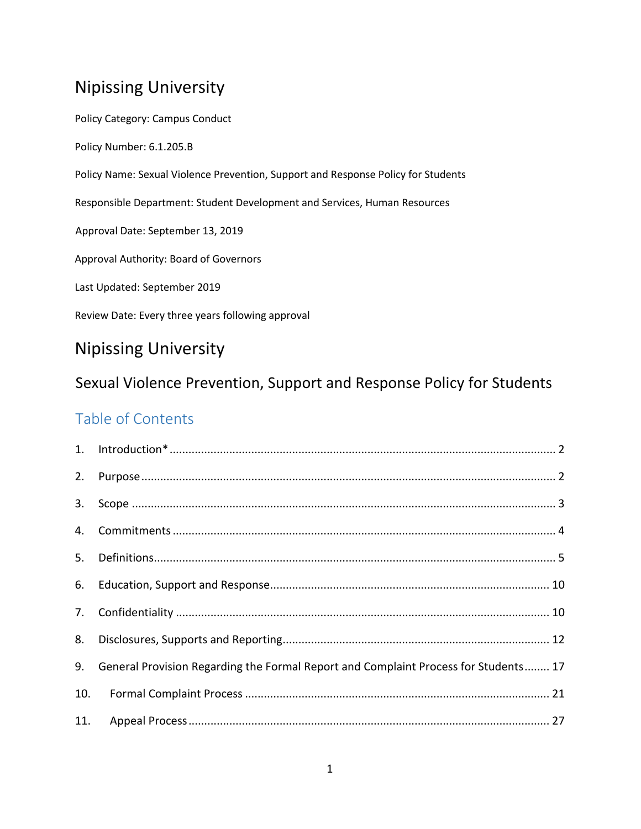# Nipissing University

Policy Category: Campus Conduct Policy Number: 6.1.205.B Policy Name: Sexual Violence Prevention, Support and Response Policy for Students Responsible Department: Student Development and Services, Human Resources Approval Date: September 13, 2019 Approval Authority: Board of Governors Last Updated: September 2019 Review Date: Every three years following approval

# Nipissing University

# Sexual Violence Prevention, Support and Response Policy for Students

# Table of Contents

| 2. |                                                                                     |
|----|-------------------------------------------------------------------------------------|
| 3. |                                                                                     |
|    |                                                                                     |
| 5. |                                                                                     |
|    |                                                                                     |
| 7. |                                                                                     |
| 8. |                                                                                     |
| 9. | General Provision Regarding the Formal Report and Complaint Process for Students 17 |
|    |                                                                                     |
|    |                                                                                     |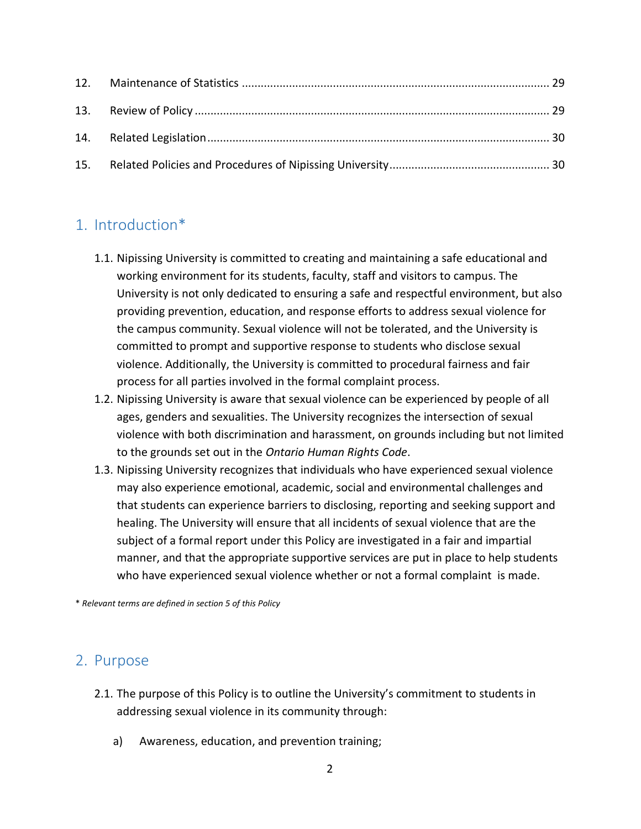# <span id="page-1-0"></span>1. Introduction\*

- 1.1. Nipissing University is committed to creating and maintaining a safe educational and working environment for its students, faculty, staff and visitors to campus. The University is not only dedicated to ensuring a safe and respectful environment, but also providing prevention, education, and response efforts to address sexual violence for the campus community. Sexual violence will not be tolerated, and the University is committed to prompt and supportive response to students who disclose sexual violence. Additionally, the University is committed to procedural fairness and fair process for all parties involved in the formal complaint process.
- 1.2. Nipissing University is aware that sexual violence can be experienced by people of all ages, genders and sexualities. The University recognizes the intersection of sexual violence with both discrimination and harassment, on grounds including but not limited to the grounds set out in the *Ontario Human Rights Code*.
- 1.3. Nipissing University recognizes that individuals who have experienced sexual violence may also experience emotional, academic, social and environmental challenges and that students can experience barriers to disclosing, reporting and seeking support and healing. The University will ensure that all incidents of sexual violence that are the subject of a formal report under this Policy are investigated in a fair and impartial manner, and that the appropriate supportive services are put in place to help students who have experienced sexual violence whether or not a formal complaint is made.

\* *Relevant terms are defined in section 5 of this Policy*

# <span id="page-1-1"></span>2. Purpose

- 2.1. The purpose of this Policy is to outline the University's commitment to students in addressing sexual violence in its community through:
	- a) Awareness, education, and prevention training;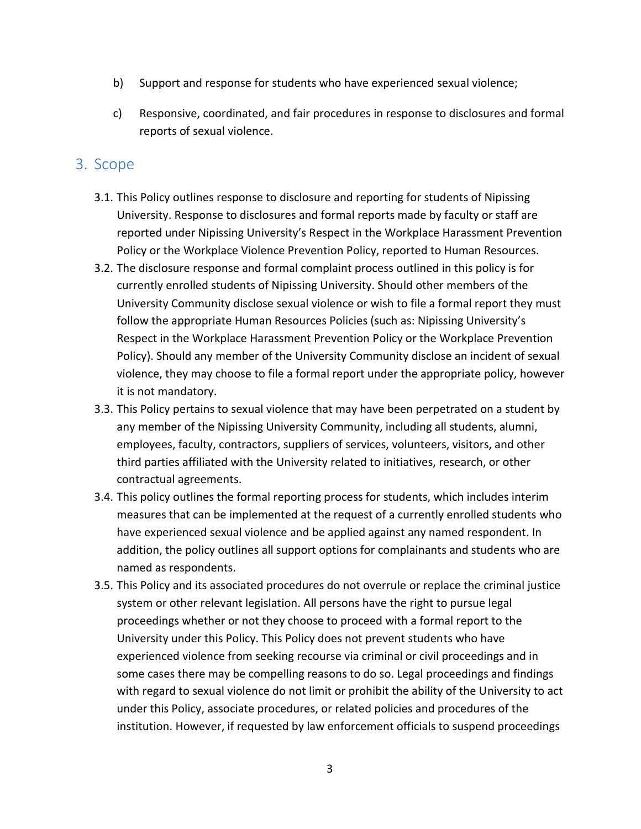- b) Support and response for students who have experienced sexual violence;
- c) Responsive, coordinated, and fair procedures in response to disclosures and formal reports of sexual violence.

## <span id="page-2-0"></span>3. Scope

- 3.1. This Policy outlines response to disclosure and reporting for students of Nipissing University. Response to disclosures and formal reports made by faculty or staff are reported under Nipissing University's Respect in the Workplace Harassment Prevention Policy or the Workplace Violence Prevention Policy, reported to Human Resources.
- 3.2. The disclosure response and formal complaint process outlined in this policy is for currently enrolled students of Nipissing University. Should other members of the University Community disclose sexual violence or wish to file a formal report they must follow the appropriate Human Resources Policies (such as: Nipissing University's Respect in the Workplace Harassment Prevention Policy or the Workplace Prevention Policy). Should any member of the University Community disclose an incident of sexual violence, they may choose to file a formal report under the appropriate policy, however it is not mandatory.
- 3.3. This Policy pertains to sexual violence that may have been perpetrated on a student by any member of the Nipissing University Community, including all students, alumni, employees, faculty, contractors, suppliers of services, volunteers, visitors, and other third parties affiliated with the University related to initiatives, research, or other contractual agreements.
- 3.4. This policy outlines the formal reporting process for students, which includes interim measures that can be implemented at the request of a currently enrolled students who have experienced sexual violence and be applied against any named respondent. In addition, the policy outlines all support options for complainants and students who are named as respondents.
- 3.5. This Policy and its associated procedures do not overrule or replace the criminal justice system or other relevant legislation. All persons have the right to pursue legal proceedings whether or not they choose to proceed with a formal report to the University under this Policy. This Policy does not prevent students who have experienced violence from seeking recourse via criminal or civil proceedings and in some cases there may be compelling reasons to do so. Legal proceedings and findings with regard to sexual violence do not limit or prohibit the ability of the University to act under this Policy, associate procedures, or related policies and procedures of the institution. However, if requested by law enforcement officials to suspend proceedings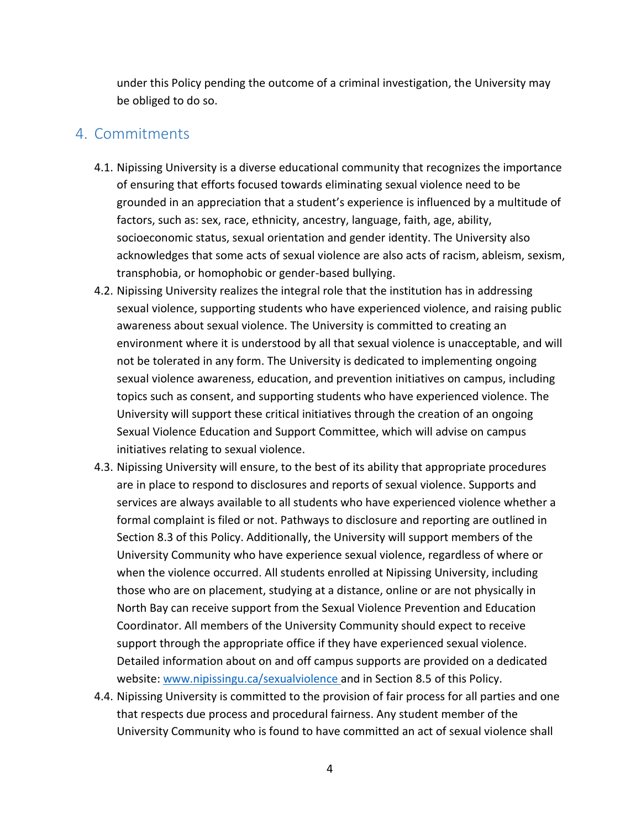under this Policy pending the outcome of a criminal investigation, the University may be obliged to do so.

## <span id="page-3-0"></span>4. Commitments

- 4.1. Nipissing University is a diverse educational community that recognizes the importance of ensuring that efforts focused towards eliminating sexual violence need to be grounded in an appreciation that a student's experience is influenced by a multitude of factors, such as: sex, race, ethnicity, ancestry, language, faith, age, ability, socioeconomic status, sexual orientation and gender identity. The University also acknowledges that some acts of sexual violence are also acts of racism, ableism, sexism, transphobia, or homophobic or gender-based bullying.
- 4.2. Nipissing University realizes the integral role that the institution has in addressing sexual violence, supporting students who have experienced violence, and raising public awareness about sexual violence. The University is committed to creating an environment where it is understood by all that sexual violence is unacceptable, and will not be tolerated in any form. The University is dedicated to implementing ongoing sexual violence awareness, education, and prevention initiatives on campus, including topics such as consent, and supporting students who have experienced violence. The University will support these critical initiatives through the creation of an ongoing Sexual Violence Education and Support Committee, which will advise on campus initiatives relating to sexual violence.
- 4.3. Nipissing University will ensure, to the best of its ability that appropriate procedures are in place to respond to disclosures and reports of sexual violence. Supports and services are always available to all students who have experienced violence whether a formal complaint is filed or not. Pathways to disclosure and reporting are outlined in Section 8.3 of this Policy. Additionally, the University will support members of the University Community who have experience sexual violence, regardless of where or when the violence occurred. All students enrolled at Nipissing University, including those who are on placement, studying at a distance, online or are not physically in North Bay can receive support from the Sexual Violence Prevention and Education Coordinator. All members of the University Community should expect to receive support through the appropriate office if they have experienced sexual violence. Detailed information about on and off campus supports are provided on a dedicated website: [www.nipissingu.ca/sexualviolence](http://www.nipissingu.ca/sexualviolence%20and%20in%20Section%208.5) and in Section 8.5 of this Policy.
- 4.4. Nipissing University is committed to the provision of fair process for all parties and one that respects due process and procedural fairness. Any student member of the University Community who is found to have committed an act of sexual violence shall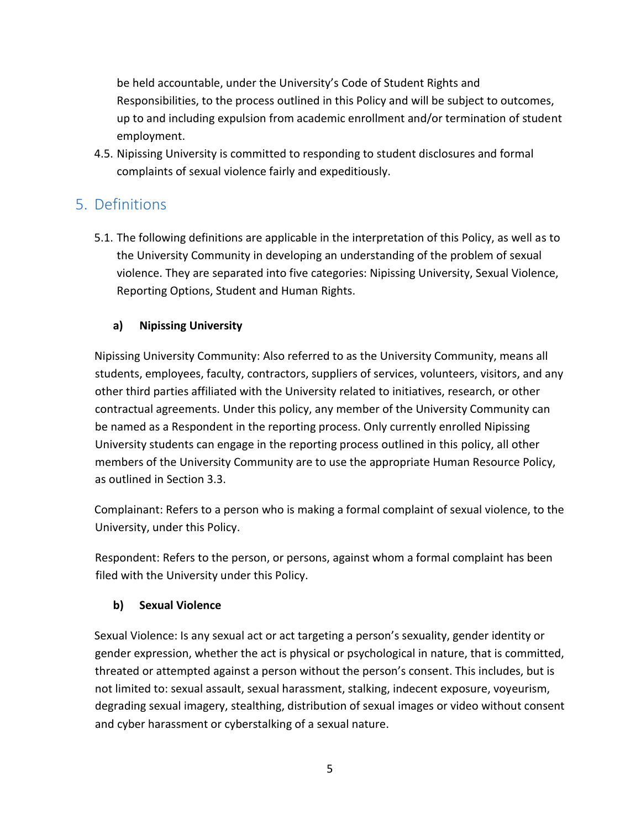be held accountable, under the University's Code of Student Rights and Responsibilities, to the process outlined in this Policy and will be subject to outcomes, up to and including expulsion from academic enrollment and/or termination of student employment.

4.5. Nipissing University is committed to responding to student disclosures and formal complaints of sexual violence fairly and expeditiously.

# <span id="page-4-0"></span>5. Definitions

5.1. The following definitions are applicable in the interpretation of this Policy, as well as to the University Community in developing an understanding of the problem of sexual violence. They are separated into five categories: Nipissing University, Sexual Violence, Reporting Options, Student and Human Rights.

### **a) Nipissing University**

Nipissing University Community: Also referred to as the University Community, means all students, employees, faculty, contractors, suppliers of services, volunteers, visitors, and any other third parties affiliated with the University related to initiatives, research, or other contractual agreements. Under this policy, any member of the University Community can be named as a Respondent in the reporting process. Only currently enrolled Nipissing University students can engage in the reporting process outlined in this policy, all other members of the University Community are to use the appropriate Human Resource Policy, as outlined in Section 3.3.

Complainant: Refers to a person who is making a formal complaint of sexual violence, to the University, under this Policy.

Respondent: Refers to the person, or persons, against whom a formal complaint has been filed with the University under this Policy.

### **b) Sexual Violence**

Sexual Violence: Is any sexual act or act targeting a person's sexuality, gender identity or gender expression, whether the act is physical or psychological in nature, that is committed, threated or attempted against a person without the person's consent. This includes, but is not limited to: sexual assault, sexual harassment, stalking, indecent exposure, voyeurism, degrading sexual imagery, stealthing, distribution of sexual images or video without consent and cyber harassment or cyberstalking of a sexual nature.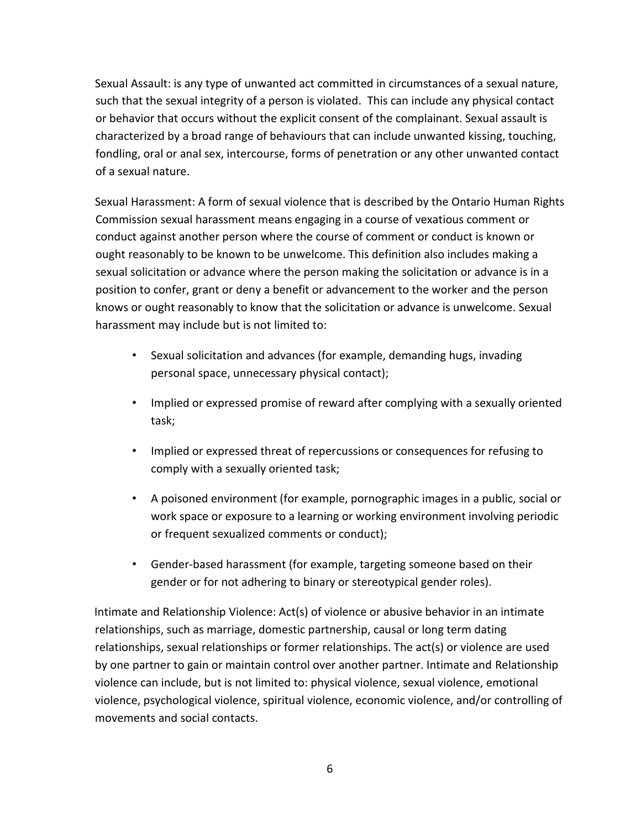Sexual Assault: is any type of unwanted act committed in circumstances of a sexual nature, such that the sexual integrity of a person is violated. This can include any physical contact or behavior that occurs without the explicit consent of the complainant. Sexual assault is characterized by a broad range of behaviours that can include unwanted kissing, touching, fondling, oral or anal sex, intercourse, forms of penetration or any other unwanted contact of a sexual nature.

Sexual Harassment: A form of sexual violence that is described by the Ontario Human Rights Commission sexual harassment means engaging in a course of vexatious comment or conduct against another person where the course of comment or conduct is known or ought reasonably to be known to be unwelcome. This definition also includes making a sexual solicitation or advance where the person making the solicitation or advance is in a position to confer, grant or deny a benefit or advancement to the worker and the person knows or ought reasonably to know that the solicitation or advance is unwelcome. Sexual harassment may include but is not limited to:

- Sexual solicitation and advances (for example, demanding hugs, invading personal space, unnecessary physical contact);
- Implied or expressed promise of reward after complying with a sexually oriented task;
- Implied or expressed threat of repercussions or consequences for refusing to comply with a sexually oriented task;
- A poisoned environment (for example, pornographic images in a public, social or work space or exposure to a learning or working environment involving periodic or frequent sexualized comments or conduct);
- Gender-based harassment (for example, targeting someone based on their gender or for not adhering to binary or stereotypical gender roles).

Intimate and Relationship Violence: Act(s) of violence or abusive behavior in an intimate relationships, such as marriage, domestic partnership, causal or long term dating relationships, sexual relationships or former relationships. The act(s) or violence are used by one partner to gain or maintain control over another partner. Intimate and Relationship violence can include, but is not limited to: physical violence, sexual violence, emotional violence, psychological violence, spiritual violence, economic violence, and/or controlling of movements and social contacts.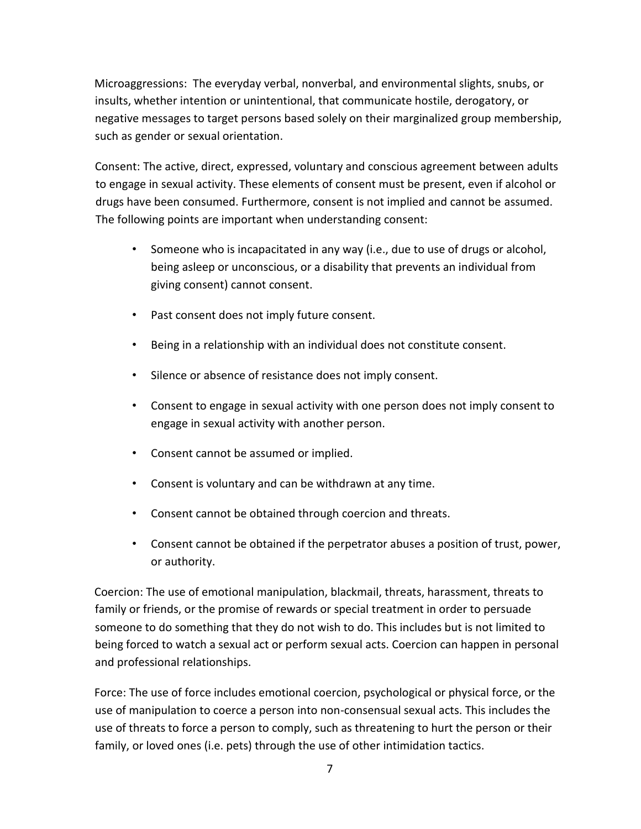Microaggressions: The everyday verbal, nonverbal, and environmental slights, snubs, or insults, whether intention or unintentional, that communicate hostile, derogatory, or negative messages to target persons based solely on their marginalized group membership, such as gender or sexual orientation.

Consent: The active, direct, expressed, voluntary and conscious agreement between adults to engage in sexual activity. These elements of consent must be present, even if alcohol or drugs have been consumed. Furthermore, consent is not implied and cannot be assumed. The following points are important when understanding consent:

- Someone who is incapacitated in any way (i.e., due to use of drugs or alcohol, being asleep or unconscious, or a disability that prevents an individual from giving consent) cannot consent.
- Past consent does not imply future consent.
- Being in a relationship with an individual does not constitute consent.
- Silence or absence of resistance does not imply consent.
- Consent to engage in sexual activity with one person does not imply consent to engage in sexual activity with another person.
- Consent cannot be assumed or implied.
- Consent is voluntary and can be withdrawn at any time.
- Consent cannot be obtained through coercion and threats.
- Consent cannot be obtained if the perpetrator abuses a position of trust, power, or authority.

Coercion: The use of emotional manipulation, blackmail, threats, harassment, threats to family or friends, or the promise of rewards or special treatment in order to persuade someone to do something that they do not wish to do. This includes but is not limited to being forced to watch a sexual act or perform sexual acts. Coercion can happen in personal and professional relationships.

Force: The use of force includes emotional coercion, psychological or physical force, or the use of manipulation to coerce a person into non-consensual sexual acts. This includes the use of threats to force a person to comply, such as threatening to hurt the person or their family, or loved ones (i.e. pets) through the use of other intimidation tactics.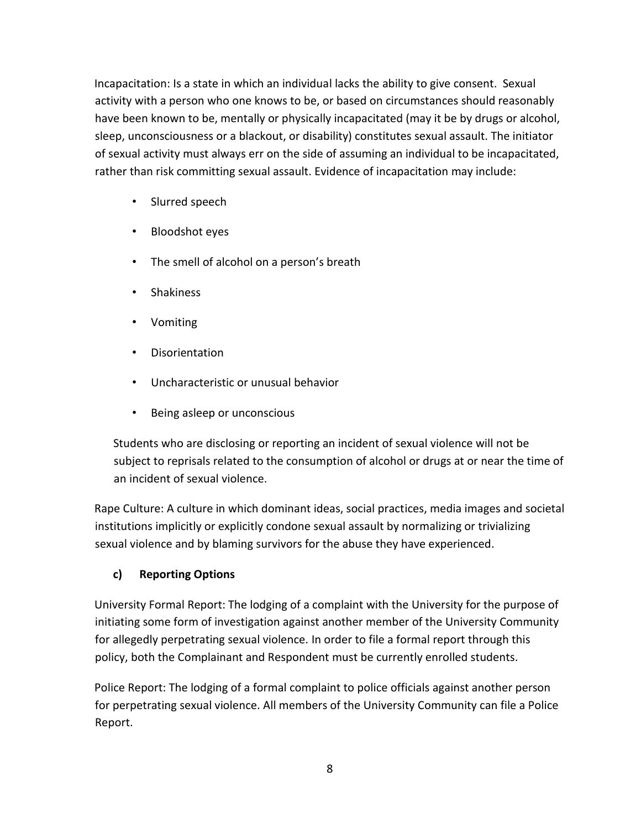Incapacitation: Is a state in which an individual lacks the ability to give consent. Sexual activity with a person who one knows to be, or based on circumstances should reasonably have been known to be, mentally or physically incapacitated (may it be by drugs or alcohol, sleep, unconsciousness or a blackout, or disability) constitutes sexual assault. The initiator of sexual activity must always err on the side of assuming an individual to be incapacitated, rather than risk committing sexual assault. Evidence of incapacitation may include:

- Slurred speech
- Bloodshot eyes
- The smell of alcohol on a person's breath
- Shakiness
- Vomiting
- Disorientation
- Uncharacteristic or unusual behavior
- Being asleep or unconscious

Students who are disclosing or reporting an incident of sexual violence will not be subject to reprisals related to the consumption of alcohol or drugs at or near the time of an incident of sexual violence.

Rape Culture: A culture in which dominant ideas, social practices, media images and societal institutions implicitly or explicitly condone sexual assault by normalizing or trivializing sexual violence and by blaming survivors for the abuse they have experienced.

### **c) Reporting Options**

University Formal Report: The lodging of a complaint with the University for the purpose of initiating some form of investigation against another member of the University Community for allegedly perpetrating sexual violence. In order to file a formal report through this policy, both the Complainant and Respondent must be currently enrolled students.

Police Report: The lodging of a formal complaint to police officials against another person for perpetrating sexual violence. All members of the University Community can file a Police Report.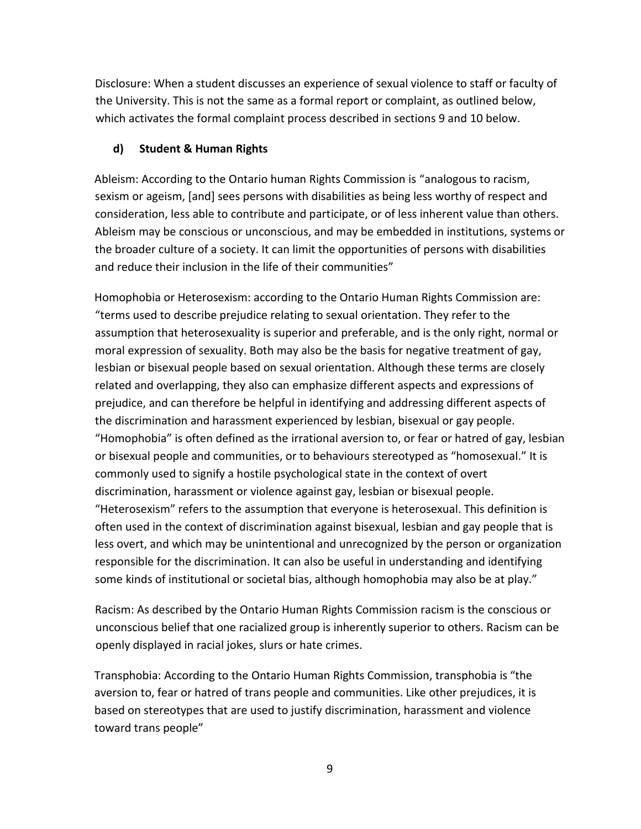Disclosure: When a student discusses an experience of sexual violence to staff or faculty of the University. This is not the same as a formal report or complaint, as outlined below, which activates the formal complaint process described in sections 9 and 10 below.

#### **d) Student & Human Rights**

Ableism: According to the Ontario human Rights Commission is "analogous to racism, sexism or ageism, [and] sees persons with disabilities as being less worthy of respect and consideration, less able to contribute and participate, or of less inherent value than others. Ableism may be conscious or unconscious, and may be embedded in institutions, systems or the broader culture of a society. It can limit the opportunities of persons with disabilities and reduce their inclusion in the life of their communities"

Homophobia or Heterosexism: according to the Ontario Human Rights Commission are: "terms used to describe prejudice relating to sexual orientation. They refer to the assumption that heterosexuality is superior and preferable, and is the only right, normal or moral expression of sexuality. Both may also be the basis for negative treatment of gay, lesbian or bisexual people based on sexual orientation. Although these terms are closely related and overlapping, they also can emphasize different aspects and expressions of prejudice, and can therefore be helpful in identifying and addressing different aspects of the discrimination and harassment experienced by lesbian, bisexual or gay people. "Homophobia" is often defined as the irrational aversion to, or fear or hatred of gay, lesbian or bisexual people and communities, or to behaviours stereotyped as "homosexual." It is commonly used to signify a hostile psychological state in the context of overt discrimination, harassment or violence against gay, lesbian or bisexual people. "Heterosexism" refers to the assumption that everyone is heterosexual. This definition is often used in the context of discrimination against bisexual, lesbian and gay people that is less overt, and which may be unintentional and unrecognized by the person or organization responsible for the discrimination. It can also be useful in understanding and identifying some kinds of institutional or societal bias, although homophobia may also be at play."

Racism: As described by the Ontario Human Rights Commission racism is the conscious or unconscious belief that one racialized group is inherently superior to others. Racism can be openly displayed in racial jokes, slurs or hate crimes.

Transphobia: According to the Ontario Human Rights Commission, transphobia is "the aversion to, fear or hatred of trans people and communities. Like other prejudices, it is based on stereotypes that are used to justify discrimination, harassment and violence toward trans people"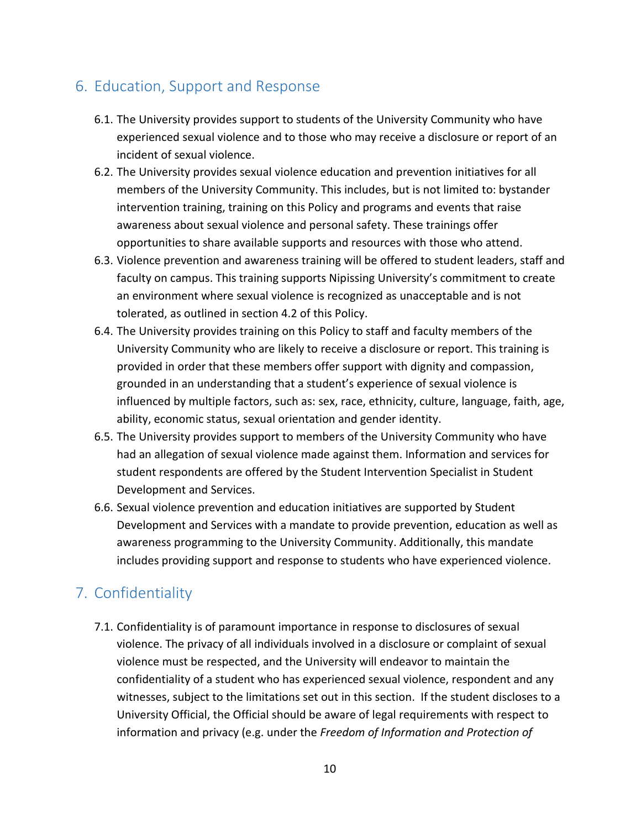# <span id="page-9-0"></span>6. Education, Support and Response

- 6.1. The University provides support to students of the University Community who have experienced sexual violence and to those who may receive a disclosure or report of an incident of sexual violence.
- 6.2. The University provides sexual violence education and prevention initiatives for all members of the University Community. This includes, but is not limited to: bystander intervention training, training on this Policy and programs and events that raise awareness about sexual violence and personal safety. These trainings offer opportunities to share available supports and resources with those who attend.
- 6.3. Violence prevention and awareness training will be offered to student leaders, staff and faculty on campus. This training supports Nipissing University's commitment to create an environment where sexual violence is recognized as unacceptable and is not tolerated, as outlined in section 4.2 of this Policy.
- 6.4. The University provides training on this Policy to staff and faculty members of the University Community who are likely to receive a disclosure or report. This training is provided in order that these members offer support with dignity and compassion, grounded in an understanding that a student's experience of sexual violence is influenced by multiple factors, such as: sex, race, ethnicity, culture, language, faith, age, ability, economic status, sexual orientation and gender identity.
- 6.5. The University provides support to members of the University Community who have had an allegation of sexual violence made against them. Information and services for student respondents are offered by the Student Intervention Specialist in Student Development and Services.
- 6.6. Sexual violence prevention and education initiatives are supported by Student Development and Services with a mandate to provide prevention, education as well as awareness programming to the University Community. Additionally, this mandate includes providing support and response to students who have experienced violence.

# <span id="page-9-1"></span>7. Confidentiality

7.1. Confidentiality is of paramount importance in response to disclosures of sexual violence. The privacy of all individuals involved in a disclosure or complaint of sexual violence must be respected, and the University will endeavor to maintain the confidentiality of a student who has experienced sexual violence, respondent and any witnesses, subject to the limitations set out in this section. If the student discloses to a University Official, the Official should be aware of legal requirements with respect to information and privacy (e.g. under the *Freedom of Information and Protection of*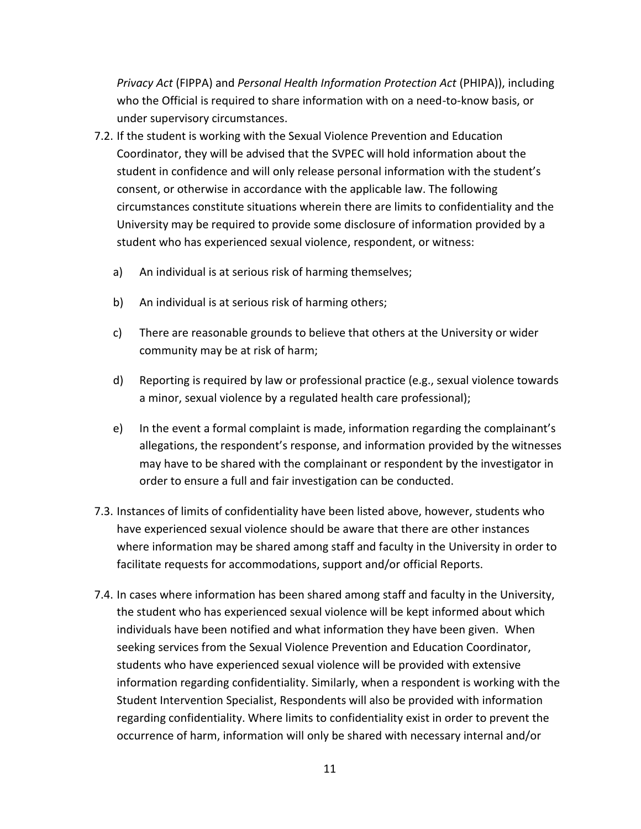*Privacy Act* (FIPPA) and *Personal Health Information Protection Act* (PHIPA)), including who the Official is required to share information with on a need-to-know basis, or under supervisory circumstances.

- 7.2. If the student is working with the Sexual Violence Prevention and Education Coordinator, they will be advised that the SVPEC will hold information about the student in confidence and will only release personal information with the student's consent, or otherwise in accordance with the applicable law. The following circumstances constitute situations wherein there are limits to confidentiality and the University may be required to provide some disclosure of information provided by a student who has experienced sexual violence, respondent, or witness:
	- a) An individual is at serious risk of harming themselves;
	- b) An individual is at serious risk of harming others;
	- c) There are reasonable grounds to believe that others at the University or wider community may be at risk of harm;
	- d) Reporting is required by law or professional practice (e.g., sexual violence towards a minor, sexual violence by a regulated health care professional);
	- e) In the event a formal complaint is made, information regarding the complainant's allegations, the respondent's response, and information provided by the witnesses may have to be shared with the complainant or respondent by the investigator in order to ensure a full and fair investigation can be conducted.
- 7.3. Instances of limits of confidentiality have been listed above, however, students who have experienced sexual violence should be aware that there are other instances where information may be shared among staff and faculty in the University in order to facilitate requests for accommodations, support and/or official Reports.
- 7.4. In cases where information has been shared among staff and faculty in the University, the student who has experienced sexual violence will be kept informed about which individuals have been notified and what information they have been given. When seeking services from the Sexual Violence Prevention and Education Coordinator, students who have experienced sexual violence will be provided with extensive information regarding confidentiality. Similarly, when a respondent is working with the Student Intervention Specialist, Respondents will also be provided with information regarding confidentiality. Where limits to confidentiality exist in order to prevent the occurrence of harm, information will only be shared with necessary internal and/or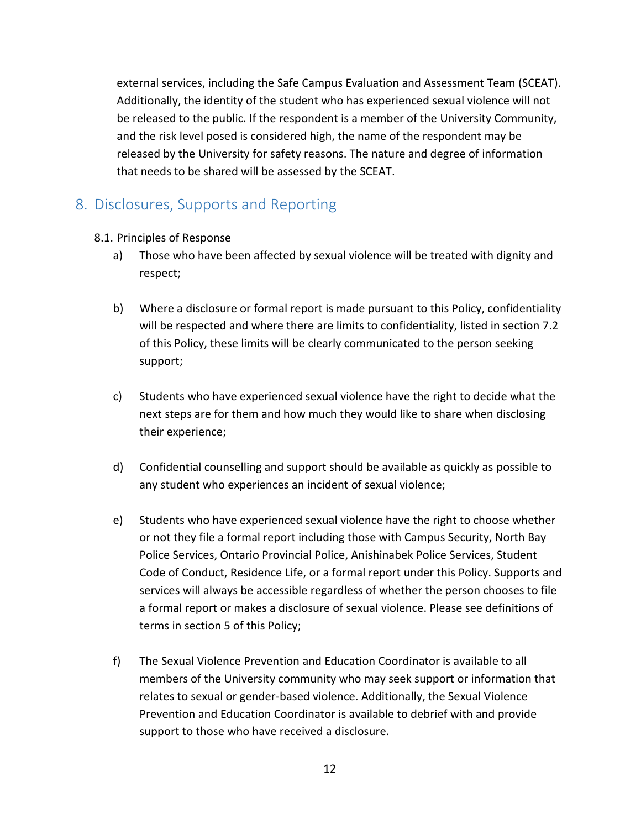external services, including the Safe Campus Evaluation and Assessment Team (SCEAT). Additionally, the identity of the student who has experienced sexual violence will not be released to the public. If the respondent is a member of the University Community, and the risk level posed is considered high, the name of the respondent may be released by the University for safety reasons. The nature and degree of information that needs to be shared will be assessed by the SCEAT.

## <span id="page-11-0"></span>8. Disclosures, Supports and Reporting

- 8.1. Principles of Response
	- a) Those who have been affected by sexual violence will be treated with dignity and respect;
	- b) Where a disclosure or formal report is made pursuant to this Policy, confidentiality will be respected and where there are limits to confidentiality, listed in section 7.2 of this Policy, these limits will be clearly communicated to the person seeking support;
	- c) Students who have experienced sexual violence have the right to decide what the next steps are for them and how much they would like to share when disclosing their experience;
	- d) Confidential counselling and support should be available as quickly as possible to any student who experiences an incident of sexual violence;
	- e) Students who have experienced sexual violence have the right to choose whether or not they file a formal report including those with Campus Security, North Bay Police Services, Ontario Provincial Police, Anishinabek Police Services, Student Code of Conduct, Residence Life, or a formal report under this Policy. Supports and services will always be accessible regardless of whether the person chooses to file a formal report or makes a disclosure of sexual violence. Please see definitions of terms in section 5 of this Policy;
	- f) The Sexual Violence Prevention and Education Coordinator is available to all members of the University community who may seek support or information that relates to sexual or gender-based violence. Additionally, the Sexual Violence Prevention and Education Coordinator is available to debrief with and provide support to those who have received a disclosure.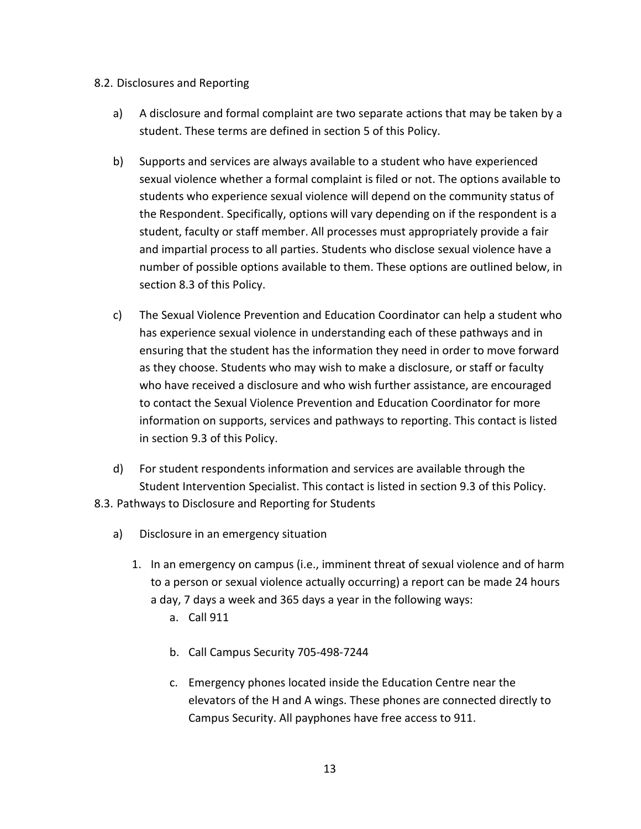#### 8.2. Disclosures and Reporting

- a) A disclosure and formal complaint are two separate actions that may be taken by a student. These terms are defined in section 5 of this Policy.
- b) Supports and services are always available to a student who have experienced sexual violence whether a formal complaint is filed or not. The options available to students who experience sexual violence will depend on the community status of the Respondent. Specifically, options will vary depending on if the respondent is a student, faculty or staff member. All processes must appropriately provide a fair and impartial process to all parties. Students who disclose sexual violence have a number of possible options available to them. These options are outlined below, in section 8.3 of this Policy.
- c) The Sexual Violence Prevention and Education Coordinator can help a student who has experience sexual violence in understanding each of these pathways and in ensuring that the student has the information they need in order to move forward as they choose. Students who may wish to make a disclosure, or staff or faculty who have received a disclosure and who wish further assistance, are encouraged to contact the Sexual Violence Prevention and Education Coordinator for more information on supports, services and pathways to reporting. This contact is listed in section 9.3 of this Policy.
- d) For student respondents information and services are available through the Student Intervention Specialist. This contact is listed in section 9.3 of this Policy. 8.3. Pathways to Disclosure and Reporting for Students
	- a) Disclosure in an emergency situation
		- 1. In an emergency on campus (i.e., imminent threat of sexual violence and of harm to a person or sexual violence actually occurring) a report can be made 24 hours a day, 7 days a week and 365 days a year in the following ways:
			- a. Call 911
			- b. Call Campus Security 705-498-7244
			- c. Emergency phones located inside the Education Centre near the elevators of the H and A wings. These phones are connected directly to Campus Security. All payphones have free access to 911.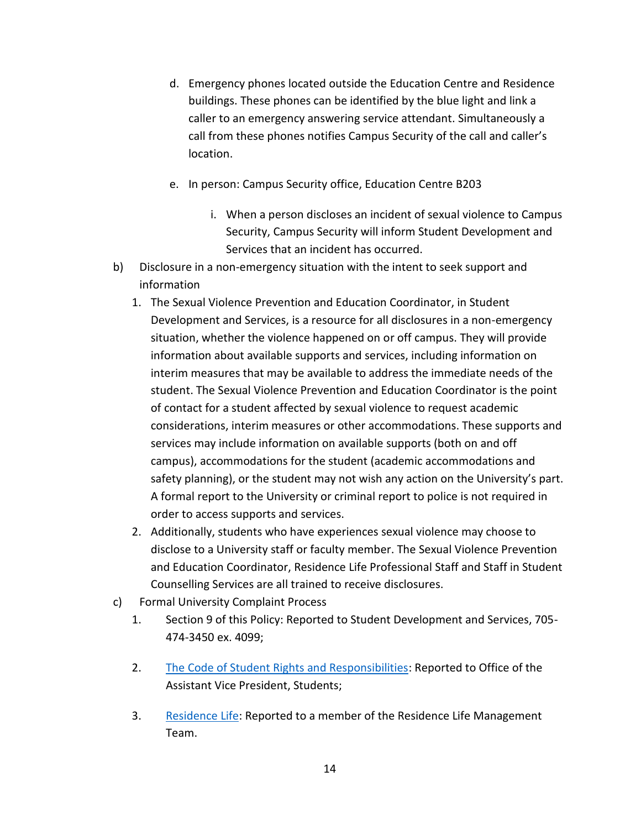- d. Emergency phones located outside the Education Centre and Residence buildings. These phones can be identified by the blue light and link a caller to an emergency answering service attendant. Simultaneously a call from these phones notifies Campus Security of the call and caller's location.
- e. In person: Campus Security office, Education Centre B203
	- i. When a person discloses an incident of sexual violence to Campus Security, Campus Security will inform Student Development and Services that an incident has occurred.
- b) Disclosure in a non-emergency situation with the intent to seek support and information
	- 1. The Sexual Violence Prevention and Education Coordinator, in Student Development and Services, is a resource for all disclosures in a non-emergency situation, whether the violence happened on or off campus. They will provide information about available supports and services, including information on interim measures that may be available to address the immediate needs of the student. The Sexual Violence Prevention and Education Coordinator is the point of contact for a student affected by sexual violence to request academic considerations, interim measures or other accommodations. These supports and services may include information on available supports (both on and off campus), accommodations for the student (academic accommodations and safety planning), or the student may not wish any action on the University's part. A formal report to the University or criminal report to police is not required in order to access supports and services.
	- 2. Additionally, students who have experiences sexual violence may choose to disclose to a University staff or faculty member. The Sexual Violence Prevention and Education Coordinator, Residence Life Professional Staff and Staff in Student Counselling Services are all trained to receive disclosures.
- c) Formal University Complaint Process
	- 1. Section 9 of this Policy: Reported to Student Development and Services, 705- 474-3450 ex. 4099;
	- 2. [The Code](http://www.nipissingu.ca/departments/student-development-and-services/Pages/Code-of-Student-Rights-and-Responsibilities.aspx) [of Student Rights and Responsibilities:](http://www.nipissingu.ca/departments/student-development-and-services/Pages/Code-of-Student-Rights-and-Responsibilities.aspx) Reported to Office of the Assistant Vice President, Students;
	- 3. [Residence Life:](http://www.nipissingu.ca/departments/residences/life/Documents/Residence%20Contract.pdf) Reported to a member of the Residence Life Management Team.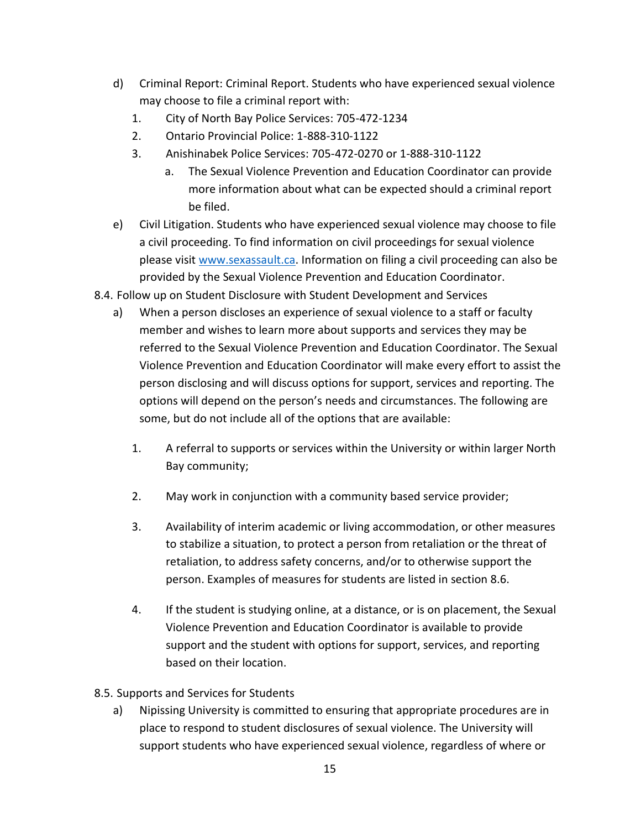- d) Criminal Report: Criminal Report. Students who have experienced sexual violence may choose to file a criminal report with:
	- 1. City of North Bay Police Services: 705-472-1234
	- 2. Ontario Provincial Police: 1-888-310-1122
	- 3. Anishinabek Police Services: 705-472-0270 or 1-888-310-1122
		- a. The Sexual Violence Prevention and Education Coordinator can provide more information about what can be expected should a criminal report be filed.
- e) Civil Litigation. Students who have experienced sexual violence may choose to file a civil proceeding. To find information on civil proceedings for sexual violence please visi[t www.sexassault.ca.](http://www.sexassault.ca/lawsuit.htm) Information on filing a civil proceeding can also be provided by the Sexual Violence Prevention and Education Coordinator.
- 8.4. Follow up on Student Disclosure with Student Development and Services
	- a) When a person discloses an experience of sexual violence to a staff or faculty member and wishes to learn more about supports and services they may be referred to the Sexual Violence Prevention and Education Coordinator. The Sexual Violence Prevention and Education Coordinator will make every effort to assist the person disclosing and will discuss options for support, services and reporting. The options will depend on the person's needs and circumstances. The following are some, but do not include all of the options that are available:
		- 1. A referral to supports or services within the University or within larger North Bay community;
		- 2. May work in conjunction with a community based service provider;
		- 3. Availability of interim academic or living accommodation, or other measures to stabilize a situation, to protect a person from retaliation or the threat of retaliation, to address safety concerns, and/or to otherwise support the person. Examples of measures for students are listed in section 8.6.
		- 4. If the student is studying online, at a distance, or is on placement, the Sexual Violence Prevention and Education Coordinator is available to provide support and the student with options for support, services, and reporting based on their location.
- 8.5. Supports and Services for Students
	- a) Nipissing University is committed to ensuring that appropriate procedures are in place to respond to student disclosures of sexual violence. The University will support students who have experienced sexual violence, regardless of where or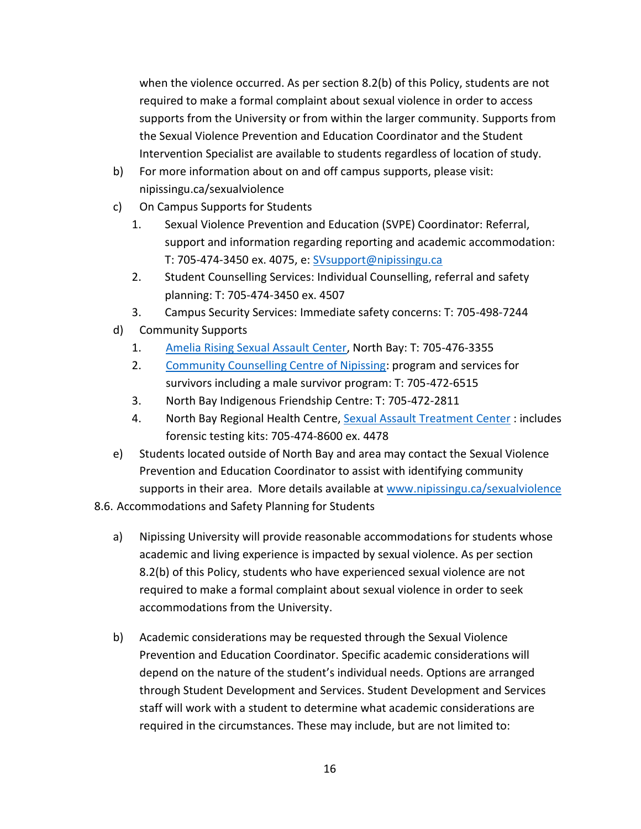when the violence occurred. As per section 8.2(b) of this Policy, students are not required to make a formal complaint about sexual violence in order to access supports from the University or from within the larger community. Supports from the Sexual Violence Prevention and Education Coordinator and the Student Intervention Specialist are available to students regardless of location of study.

- b) For more information about on and off campus supports, please visit: nipissingu.ca/sexualviolence
- c) On Campus Supports for Students
	- 1. Sexual Violence Prevention and Education (SVPE) Coordinator: Referral, support and information regarding reporting and academic accommodation: T: 705-474-3450 ex. 4075, e: SVsupport@nipissingu.ca
	- 2. Student Counselling Services: Individual Counselling, referral and safety planning: T: 705-474-3450 ex. 4507
	- 3. Campus Security Services: Immediate safety concerns: T: 705-498-7244
- d) Community Supports
	- 1. [Amelia Rising Sexual Assault Center,](http://www.ameliarising.ca/) North Bay: T: 705-476-3355
	- 2. [Community Counselling Centre of Nipissing:](http://www.cccnip.com/) program and services for survivors including a male survivor program: T: 705-472-6515
	- 3. North Bay Indigenous Friendship Centre: T: 705-472-2811
	- 4. North Bay Regional Health Centre, [Sexual Assault](http://www.nbrhc.on.ca/programs-services/medical-services-2/sexual-assault-treatment-centre/) [Treatment](http://www.nbrhc.on.ca/programs-services/medical-services-2/sexual-assault-treatment-centre/) [Center](http://www.nbrhc.on.ca/programs-services/medical-services-2/sexual-assault-treatment-centre/): includes forensic testing kits: 705-474-8600 ex. 4478
- e) Students located outside of North Bay and area may contact the Sexual Violence Prevention and Education Coordinator to assist with identifying community supports in their area. More details available at www.nipissingu.ca/sexualviolence
- 8.6. Accommodations and Safety Planning for Students
	- a) Nipissing University will provide reasonable accommodations for students whose academic and living experience is impacted by sexual violence. As per section 8.2(b) of this Policy, students who have experienced sexual violence are not required to make a formal complaint about sexual violence in order to seek accommodations from the University.
	- b) Academic considerations may be requested through the Sexual Violence Prevention and Education Coordinator. Specific academic considerations will depend on the nature of the student's individual needs. Options are arranged through Student Development and Services. Student Development and Services staff will work with a student to determine what academic considerations are required in the circumstances. These may include, but are not limited to: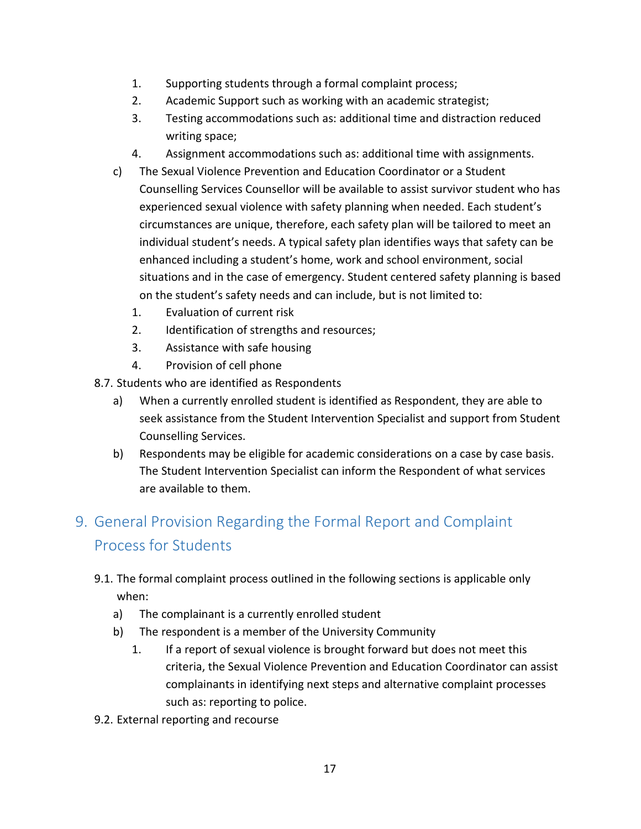- 1. Supporting students through a formal complaint process;
- 2. Academic Support such as working with an academic strategist;
- 3. Testing accommodations such as: additional time and distraction reduced writing space;
- 4. Assignment accommodations such as: additional time with assignments.
- c) The Sexual Violence Prevention and Education Coordinator or a Student Counselling Services Counsellor will be available to assist survivor student who has experienced sexual violence with safety planning when needed. Each student's circumstances are unique, therefore, each safety plan will be tailored to meet an individual student's needs. A typical safety plan identifies ways that safety can be enhanced including a student's home, work and school environment, social situations and in the case of emergency. Student centered safety planning is based on the student's safety needs and can include, but is not limited to:
	- 1. Evaluation of current risk
	- 2. Identification of strengths and resources;
	- 3. Assistance with safe housing
	- 4. Provision of cell phone
- 8.7. Students who are identified as Respondents
	- a) When a currently enrolled student is identified as Respondent, they are able to seek assistance from the Student Intervention Specialist and support from Student Counselling Services.
	- b) Respondents may be eligible for academic considerations on a case by case basis. The Student Intervention Specialist can inform the Respondent of what services are available to them.

# <span id="page-16-0"></span>9. General Provision Regarding the Formal Report and Complaint Process for Students

- 9.1. The formal complaint process outlined in the following sections is applicable only when:
	- a) The complainant is a currently enrolled student
	- b) The respondent is a member of the University Community
		- 1. If a report of sexual violence is brought forward but does not meet this criteria, the Sexual Violence Prevention and Education Coordinator can assist complainants in identifying next steps and alternative complaint processes such as: reporting to police.
- 9.2. External reporting and recourse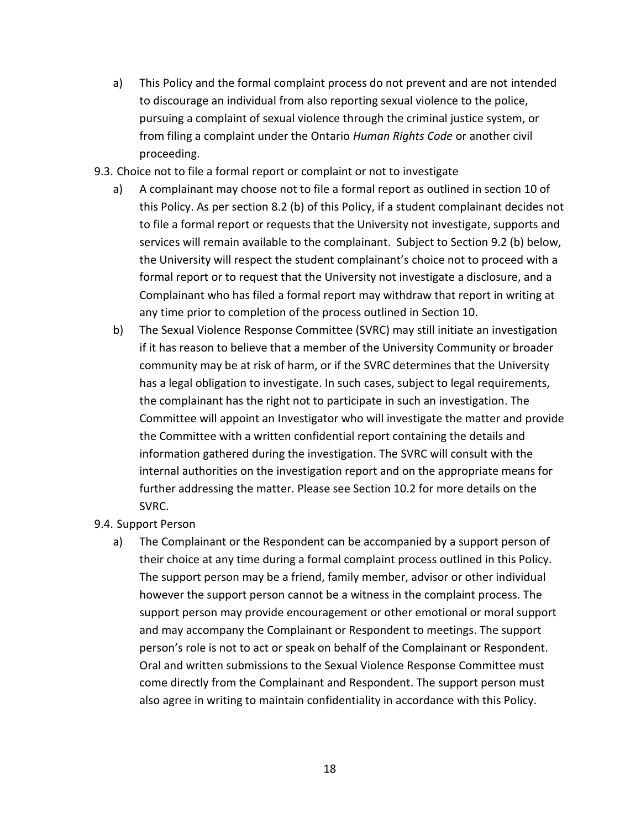- a) This Policy and the formal complaint process do not prevent and are not intended to discourage an individual from also reporting sexual violence to the police, pursuing a complaint of sexual violence through the criminal justice system, or from filing a complaint under the Ontario *Human Rights Code* or another civil proceeding.
- 9.3. Choice not to file a formal report or complaint or not to investigate
	- a) A complainant may choose not to file a formal report as outlined in section 10 of this Policy. As per section 8.2 (b) of this Policy, if a student complainant decides not to file a formal report or requests that the University not investigate, supports and services will remain available to the complainant. Subject to Section 9.2 (b) below, the University will respect the student complainant's choice not to proceed with a formal report or to request that the University not investigate a disclosure, and a Complainant who has filed a formal report may withdraw that report in writing at any time prior to completion of the process outlined in Section 10.
	- b) The Sexual Violence Response Committee (SVRC) may still initiate an investigation if it has reason to believe that a member of the University Community or broader community may be at risk of harm, or if the SVRC determines that the University has a legal obligation to investigate. In such cases, subject to legal requirements, the complainant has the right not to participate in such an investigation. The Committee will appoint an Investigator who will investigate the matter and provide the Committee with a written confidential report containing the details and information gathered during the investigation. The SVRC will consult with the internal authorities on the investigation report and on the appropriate means for further addressing the matter. Please see Section 10.2 for more details on the SVRC.
- 9.4. Support Person
	- a) The Complainant or the Respondent can be accompanied by a support person of their choice at any time during a formal complaint process outlined in this Policy. The support person may be a friend, family member, advisor or other individual however the support person cannot be a witness in the complaint process. The support person may provide encouragement or other emotional or moral support and may accompany the Complainant or Respondent to meetings. The support person's role is not to act or speak on behalf of the Complainant or Respondent. Oral and written submissions to the Sexual Violence Response Committee must come directly from the Complainant and Respondent. The support person must also agree in writing to maintain confidentiality in accordance with this Policy.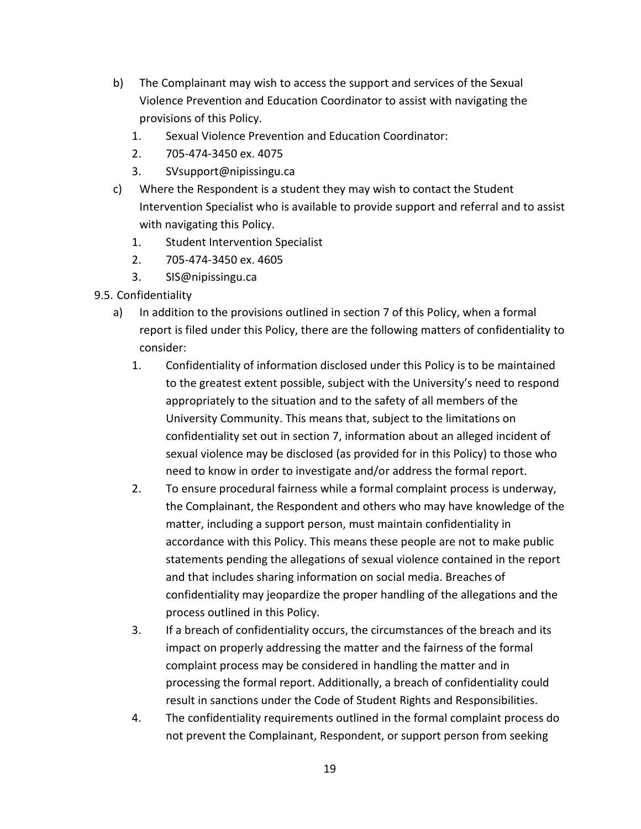- b) The Complainant may wish to access the support and services of the Sexual Violence Prevention and Education Coordinator to assist with navigating the provisions of this Policy.
	- 1. Sexual Violence Prevention and Education Coordinator:
	- 2. 705-474-3450 ex. 4075
	- 3. SVsupport@nipissingu.ca
- c) Where the Respondent is a student they may wish to contact the Student Intervention Specialist who is available to provide support and referral and to assist with navigating this Policy.
	- 1. Student Intervention Specialist
	- 2. 705-474-3450 ex. 4605
	- 3. SIS@nipissingu.ca
- 9.5. Confidentiality
	- a) In addition to the provisions outlined in section 7 of this Policy, when a formal report is filed under this Policy, there are the following matters of confidentiality to consider:
		- 1. Confidentiality of information disclosed under this Policy is to be maintained to the greatest extent possible, subject with the University's need to respond appropriately to the situation and to the safety of all members of the University Community. This means that, subject to the limitations on confidentiality set out in section 7, information about an alleged incident of sexual violence may be disclosed (as provided for in this Policy) to those who need to know in order to investigate and/or address the formal report.
		- 2. To ensure procedural fairness while a formal complaint process is underway, the Complainant, the Respondent and others who may have knowledge of the matter, including a support person, must maintain confidentiality in accordance with this Policy. This means these people are not to make public statements pending the allegations of sexual violence contained in the report and that includes sharing information on social media. Breaches of confidentiality may jeopardize the proper handling of the allegations and the process outlined in this Policy.
		- 3. If a breach of confidentiality occurs, the circumstances of the breach and its impact on properly addressing the matter and the fairness of the formal complaint process may be considered in handling the matter and in processing the formal report. Additionally, a breach of confidentiality could result in sanctions under the Code of Student Rights and Responsibilities.
		- 4. The confidentiality requirements outlined in the formal complaint process do not prevent the Complainant, Respondent, or support person from seeking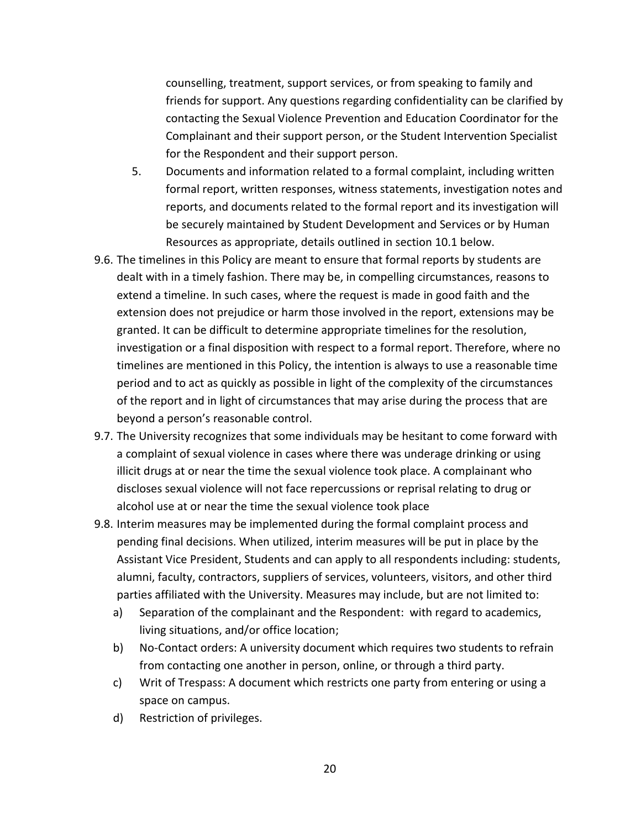counselling, treatment, support services, or from speaking to family and friends for support. Any questions regarding confidentiality can be clarified by contacting the Sexual Violence Prevention and Education Coordinator for the Complainant and their support person, or the Student Intervention Specialist for the Respondent and their support person.

- 5. Documents and information related to a formal complaint, including written formal report, written responses, witness statements, investigation notes and reports, and documents related to the formal report and its investigation will be securely maintained by Student Development and Services or by Human Resources as appropriate, details outlined in section 10.1 below.
- 9.6. The timelines in this Policy are meant to ensure that formal reports by students are dealt with in a timely fashion. There may be, in compelling circumstances, reasons to extend a timeline. In such cases, where the request is made in good faith and the extension does not prejudice or harm those involved in the report, extensions may be granted. It can be difficult to determine appropriate timelines for the resolution, investigation or a final disposition with respect to a formal report. Therefore, where no timelines are mentioned in this Policy, the intention is always to use a reasonable time period and to act as quickly as possible in light of the complexity of the circumstances of the report and in light of circumstances that may arise during the process that are beyond a person's reasonable control.
- 9.7. The University recognizes that some individuals may be hesitant to come forward with a complaint of sexual violence in cases where there was underage drinking or using illicit drugs at or near the time the sexual violence took place. A complainant who discloses sexual violence will not face repercussions or reprisal relating to drug or alcohol use at or near the time the sexual violence took place
- 9.8. Interim measures may be implemented during the formal complaint process and pending final decisions. When utilized, interim measures will be put in place by the Assistant Vice President, Students and can apply to all respondents including: students, alumni, faculty, contractors, suppliers of services, volunteers, visitors, and other third parties affiliated with the University. Measures may include, but are not limited to:
	- a) Separation of the complainant and the Respondent: with regard to academics, living situations, and/or office location;
	- b) No-Contact orders: A university document which requires two students to refrain from contacting one another in person, online, or through a third party.
	- c) Writ of Trespass: A document which restricts one party from entering or using a space on campus.
	- d) Restriction of privileges.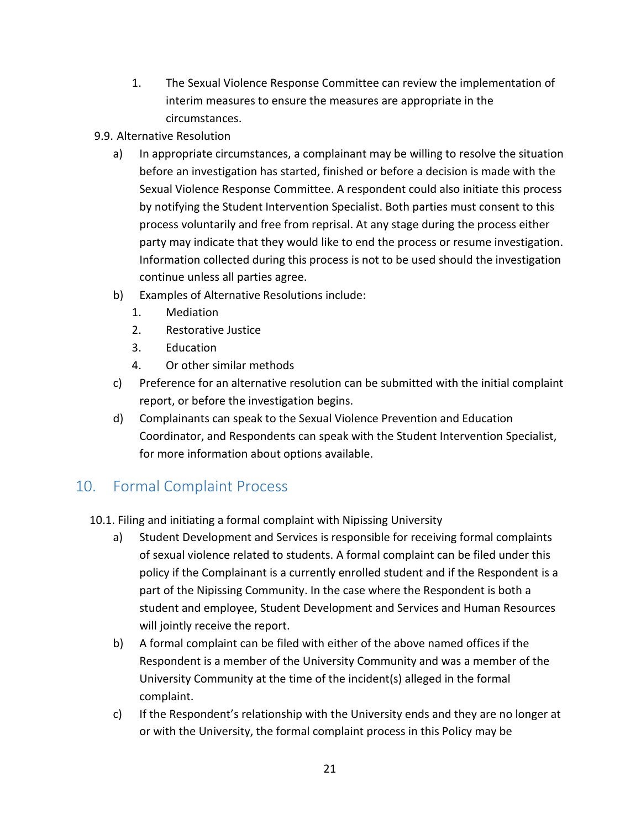- 1. The Sexual Violence Response Committee can review the implementation of interim measures to ensure the measures are appropriate in the circumstances.
- 9.9. Alternative Resolution
	- a) In appropriate circumstances, a complainant may be willing to resolve the situation before an investigation has started, finished or before a decision is made with the Sexual Violence Response Committee. A respondent could also initiate this process by notifying the Student Intervention Specialist. Both parties must consent to this process voluntarily and free from reprisal. At any stage during the process either party may indicate that they would like to end the process or resume investigation. Information collected during this process is not to be used should the investigation continue unless all parties agree.
	- b) Examples of Alternative Resolutions include:
		- 1. Mediation
		- 2. Restorative Justice
		- 3. Education
		- 4. Or other similar methods
	- c) Preference for an alternative resolution can be submitted with the initial complaint report, or before the investigation begins.
	- d) Complainants can speak to the Sexual Violence Prevention and Education Coordinator, and Respondents can speak with the Student Intervention Specialist, for more information about options available.

# <span id="page-20-0"></span>10. Formal Complaint Process

- 10.1. Filing and initiating a formal complaint with Nipissing University
	- a) Student Development and Services is responsible for receiving formal complaints of sexual violence related to students. A formal complaint can be filed under this policy if the Complainant is a currently enrolled student and if the Respondent is a part of the Nipissing Community. In the case where the Respondent is both a student and employee, Student Development and Services and Human Resources will jointly receive the report.
	- b) A formal complaint can be filed with either of the above named offices if the Respondent is a member of the University Community and was a member of the University Community at the time of the incident(s) alleged in the formal complaint.
	- c) If the Respondent's relationship with the University ends and they are no longer at or with the University, the formal complaint process in this Policy may be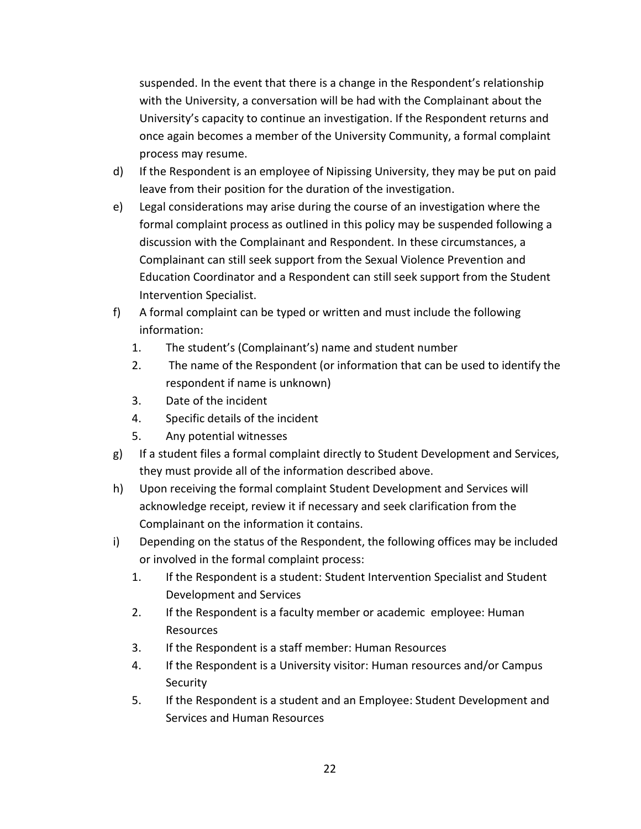suspended. In the event that there is a change in the Respondent's relationship with the University, a conversation will be had with the Complainant about the University's capacity to continue an investigation. If the Respondent returns and once again becomes a member of the University Community, a formal complaint process may resume.

- d) If the Respondent is an employee of Nipissing University, they may be put on paid leave from their position for the duration of the investigation.
- e) Legal considerations may arise during the course of an investigation where the formal complaint process as outlined in this policy may be suspended following a discussion with the Complainant and Respondent. In these circumstances, a Complainant can still seek support from the Sexual Violence Prevention and Education Coordinator and a Respondent can still seek support from the Student Intervention Specialist.
- f) A formal complaint can be typed or written and must include the following information:
	- 1. The student's (Complainant's) name and student number
	- 2. The name of the Respondent (or information that can be used to identify the respondent if name is unknown)
	- 3. Date of the incident
	- 4. Specific details of the incident
	- 5. Any potential witnesses
- g) If a student files a formal complaint directly to Student Development and Services, they must provide all of the information described above.
- h) Upon receiving the formal complaint Student Development and Services will acknowledge receipt, review it if necessary and seek clarification from the Complainant on the information it contains.
- i) Depending on the status of the Respondent, the following offices may be included or involved in the formal complaint process:
	- 1. If the Respondent is a student: Student Intervention Specialist and Student Development and Services
	- 2. If the Respondent is a faculty member or academic employee: Human Resources
	- 3. If the Respondent is a staff member: Human Resources
	- 4. If the Respondent is a University visitor: Human resources and/or Campus **Security**
	- 5. If the Respondent is a student and an Employee: Student Development and Services and Human Resources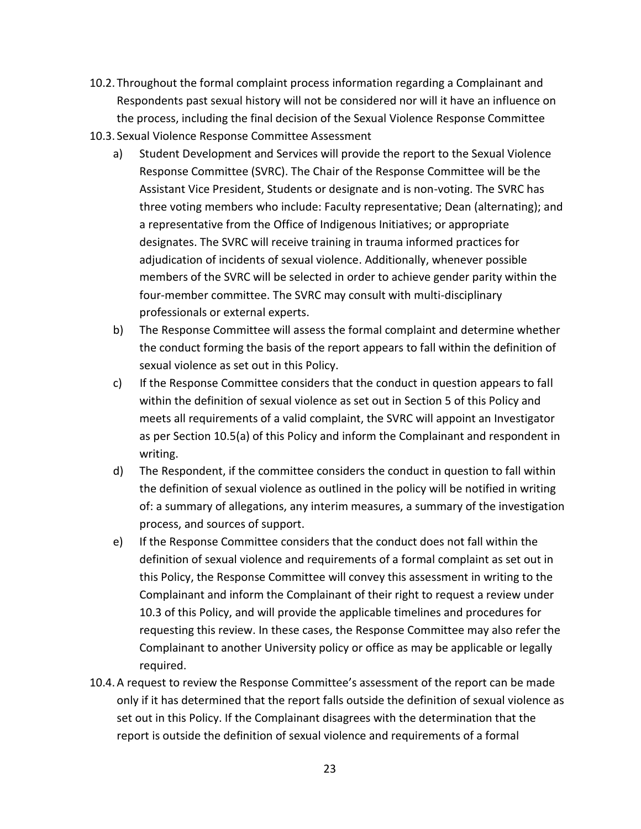- 10.2. Throughout the formal complaint process information regarding a Complainant and Respondents past sexual history will not be considered nor will it have an influence on the process, including the final decision of the Sexual Violence Response Committee
- 10.3. Sexual Violence Response Committee Assessment
	- a) Student Development and Services will provide the report to the Sexual Violence Response Committee (SVRC). The Chair of the Response Committee will be the Assistant Vice President, Students or designate and is non-voting. The SVRC has three voting members who include: Faculty representative; Dean (alternating); and a representative from the Office of Indigenous Initiatives; or appropriate designates. The SVRC will receive training in trauma informed practices for adjudication of incidents of sexual violence. Additionally, whenever possible members of the SVRC will be selected in order to achieve gender parity within the four-member committee. The SVRC may consult with multi-disciplinary professionals or external experts.
	- b) The Response Committee will assess the formal complaint and determine whether the conduct forming the basis of the report appears to fall within the definition of sexual violence as set out in this Policy.
	- c) If the Response Committee considers that the conduct in question appears to fall within the definition of sexual violence as set out in Section 5 of this Policy and meets all requirements of a valid complaint, the SVRC will appoint an Investigator as per Section 10.5(a) of this Policy and inform the Complainant and respondent in writing.
	- d) The Respondent, if the committee considers the conduct in question to fall within the definition of sexual violence as outlined in the policy will be notified in writing of: a summary of allegations, any interim measures, a summary of the investigation process, and sources of support.
	- e) If the Response Committee considers that the conduct does not fall within the definition of sexual violence and requirements of a formal complaint as set out in this Policy, the Response Committee will convey this assessment in writing to the Complainant and inform the Complainant of their right to request a review under 10.3 of this Policy, and will provide the applicable timelines and procedures for requesting this review. In these cases, the Response Committee may also refer the Complainant to another University policy or office as may be applicable or legally required.
- 10.4.A request to review the Response Committee's assessment of the report can be made only if it has determined that the report falls outside the definition of sexual violence as set out in this Policy. If the Complainant disagrees with the determination that the report is outside the definition of sexual violence and requirements of a formal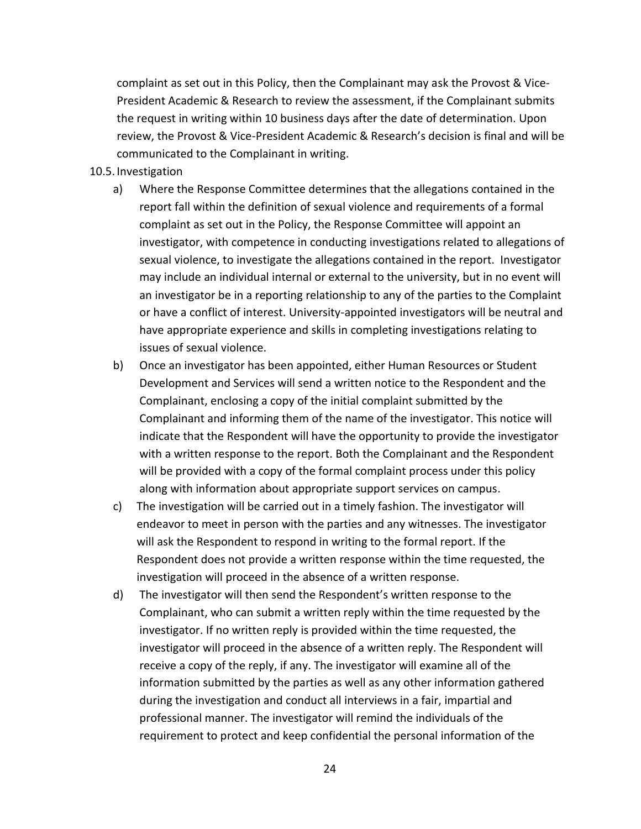complaint as set out in this Policy, then the Complainant may ask the Provost & Vice-President Academic & Research to review the assessment, if the Complainant submits the request in writing within 10 business days after the date of determination. Upon review, the Provost & Vice-President Academic & Research's decision is final and will be communicated to the Complainant in writing.

#### 10.5. Investigation

- a) Where the Response Committee determines that the allegations contained in the report fall within the definition of sexual violence and requirements of a formal complaint as set out in the Policy, the Response Committee will appoint an investigator, with competence in conducting investigations related to allegations of sexual violence, to investigate the allegations contained in the report. Investigator may include an individual internal or external to the university, but in no event will an investigator be in a reporting relationship to any of the parties to the Complaint or have a conflict of interest. University-appointed investigators will be neutral and have appropriate experience and skills in completing investigations relating to issues of sexual violence.
- b) Once an investigator has been appointed, either Human Resources or Student Development and Services will send a written notice to the Respondent and the Complainant, enclosing a copy of the initial complaint submitted by the Complainant and informing them of the name of the investigator. This notice will indicate that the Respondent will have the opportunity to provide the investigator with a written response to the report. Both the Complainant and the Respondent will be provided with a copy of the formal complaint process under this policy along with information about appropriate support services on campus.
- c) The investigation will be carried out in a timely fashion. The investigator will endeavor to meet in person with the parties and any witnesses. The investigator will ask the Respondent to respond in writing to the formal report. If the Respondent does not provide a written response within the time requested, the investigation will proceed in the absence of a written response.
- d) The investigator will then send the Respondent's written response to the Complainant, who can submit a written reply within the time requested by the investigator. If no written reply is provided within the time requested, the investigator will proceed in the absence of a written reply. The Respondent will receive a copy of the reply, if any. The investigator will examine all of the information submitted by the parties as well as any other information gathered during the investigation and conduct all interviews in a fair, impartial and professional manner. The investigator will remind the individuals of the requirement to protect and keep confidential the personal information of the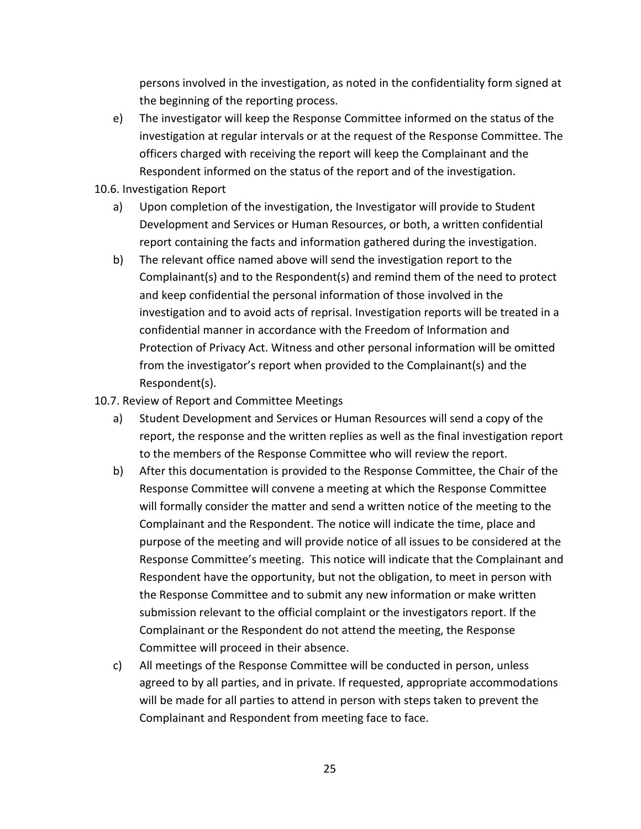persons involved in the investigation, as noted in the confidentiality form signed at the beginning of the reporting process.

- e) The investigator will keep the Response Committee informed on the status of the investigation at regular intervals or at the request of the Response Committee. The officers charged with receiving the report will keep the Complainant and the Respondent informed on the status of the report and of the investigation.
- 10.6. Investigation Report
	- a) Upon completion of the investigation, the Investigator will provide to Student Development and Services or Human Resources, or both, a written confidential report containing the facts and information gathered during the investigation.
	- b) The relevant office named above will send the investigation report to the Complainant(s) and to the Respondent(s) and remind them of the need to protect and keep confidential the personal information of those involved in the investigation and to avoid acts of reprisal. Investigation reports will be treated in a confidential manner in accordance with the Freedom of Information and Protection of Privacy Act. Witness and other personal information will be omitted from the investigator's report when provided to the Complainant(s) and the Respondent(s).
- 10.7. Review of Report and Committee Meetings
	- a) Student Development and Services or Human Resources will send a copy of the report, the response and the written replies as well as the final investigation report to the members of the Response Committee who will review the report.
	- b) After this documentation is provided to the Response Committee, the Chair of the Response Committee will convene a meeting at which the Response Committee will formally consider the matter and send a written notice of the meeting to the Complainant and the Respondent. The notice will indicate the time, place and purpose of the meeting and will provide notice of all issues to be considered at the Response Committee's meeting. This notice will indicate that the Complainant and Respondent have the opportunity, but not the obligation, to meet in person with the Response Committee and to submit any new information or make written submission relevant to the official complaint or the investigators report. If the Complainant or the Respondent do not attend the meeting, the Response Committee will proceed in their absence.
	- c) All meetings of the Response Committee will be conducted in person, unless agreed to by all parties, and in private. If requested, appropriate accommodations will be made for all parties to attend in person with steps taken to prevent the Complainant and Respondent from meeting face to face.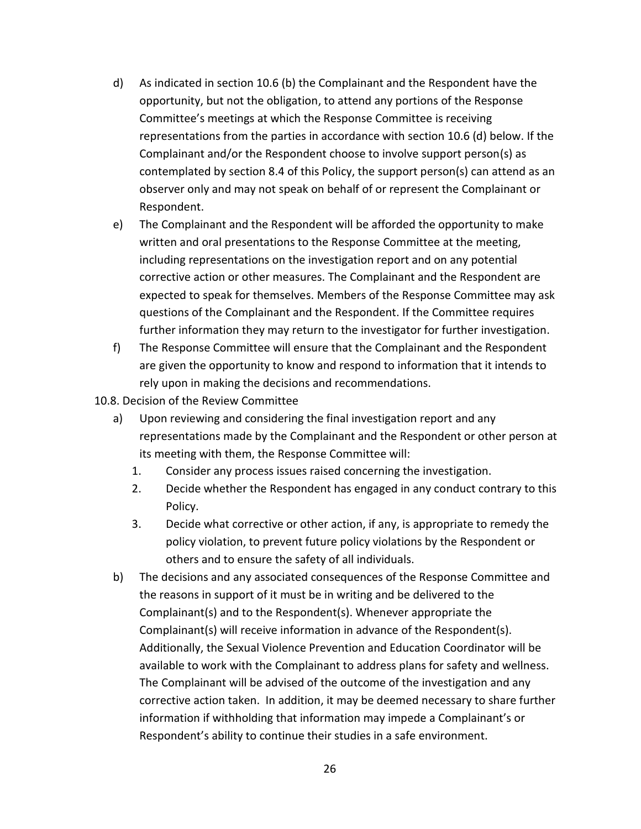- d) As indicated in section 10.6 (b) the Complainant and the Respondent have the opportunity, but not the obligation, to attend any portions of the Response Committee's meetings at which the Response Committee is receiving representations from the parties in accordance with section 10.6 (d) below. If the Complainant and/or the Respondent choose to involve support person(s) as contemplated by section 8.4 of this Policy, the support person(s) can attend as an observer only and may not speak on behalf of or represent the Complainant or Respondent.
- e) The Complainant and the Respondent will be afforded the opportunity to make written and oral presentations to the Response Committee at the meeting, including representations on the investigation report and on any potential corrective action or other measures. The Complainant and the Respondent are expected to speak for themselves. Members of the Response Committee may ask questions of the Complainant and the Respondent. If the Committee requires further information they may return to the investigator for further investigation.
- f) The Response Committee will ensure that the Complainant and the Respondent are given the opportunity to know and respond to information that it intends to rely upon in making the decisions and recommendations.
- 10.8. Decision of the Review Committee
	- a) Upon reviewing and considering the final investigation report and any representations made by the Complainant and the Respondent or other person at its meeting with them, the Response Committee will:
		- 1. Consider any process issues raised concerning the investigation.
		- 2. Decide whether the Respondent has engaged in any conduct contrary to this Policy.
		- 3. Decide what corrective or other action, if any, is appropriate to remedy the policy violation, to prevent future policy violations by the Respondent or others and to ensure the safety of all individuals.
	- b) The decisions and any associated consequences of the Response Committee and the reasons in support of it must be in writing and be delivered to the Complainant(s) and to the Respondent(s). Whenever appropriate the Complainant(s) will receive information in advance of the Respondent(s). Additionally, the Sexual Violence Prevention and Education Coordinator will be available to work with the Complainant to address plans for safety and wellness. The Complainant will be advised of the outcome of the investigation and any corrective action taken. In addition, it may be deemed necessary to share further information if withholding that information may impede a Complainant's or Respondent's ability to continue their studies in a safe environment.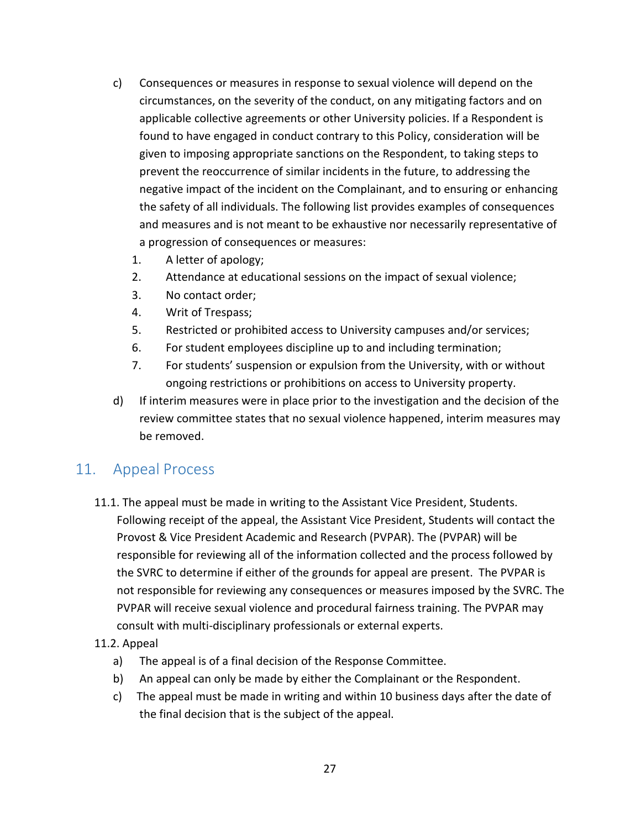- c) Consequences or measures in response to sexual violence will depend on the circumstances, on the severity of the conduct, on any mitigating factors and on applicable collective agreements or other University policies. If a Respondent is found to have engaged in conduct contrary to this Policy, consideration will be given to imposing appropriate sanctions on the Respondent, to taking steps to prevent the reoccurrence of similar incidents in the future, to addressing the negative impact of the incident on the Complainant, and to ensuring or enhancing the safety of all individuals. The following list provides examples of consequences and measures and is not meant to be exhaustive nor necessarily representative of a progression of consequences or measures:
	- 1. A letter of apology;
	- 2. Attendance at educational sessions on the impact of sexual violence;
	- 3. No contact order;
	- 4. Writ of Trespass;
	- 5. Restricted or prohibited access to University campuses and/or services;
	- 6. For student employees discipline up to and including termination;
	- 7. For students' suspension or expulsion from the University, with or without ongoing restrictions or prohibitions on access to University property.
- d) If interim measures were in place prior to the investigation and the decision of the review committee states that no sexual violence happened, interim measures may be removed.

## <span id="page-26-0"></span>11. Appeal Process

11.1. The appeal must be made in writing to the Assistant Vice President, Students. Following receipt of the appeal, the Assistant Vice President, Students will contact the Provost & Vice President Academic and Research (PVPAR). The (PVPAR) will be responsible for reviewing all of the information collected and the process followed by the SVRC to determine if either of the grounds for appeal are present. The PVPAR is not responsible for reviewing any consequences or measures imposed by the SVRC. The PVPAR will receive sexual violence and procedural fairness training. The PVPAR may consult with multi-disciplinary professionals or external experts.

#### 11.2. Appeal

- a) The appeal is of a final decision of the Response Committee.
- b) An appeal can only be made by either the Complainant or the Respondent.
- c) The appeal must be made in writing and within 10 business days after the date of the final decision that is the subject of the appeal.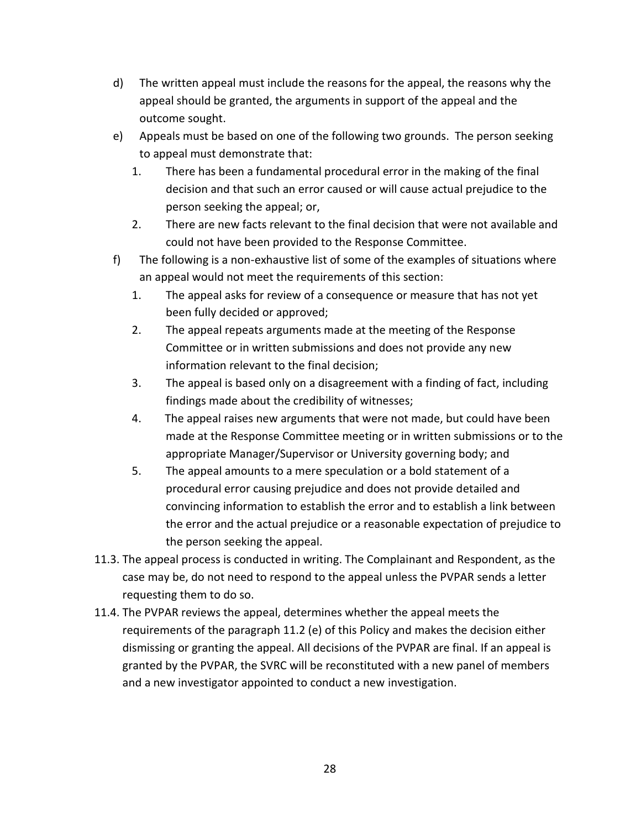- d) The written appeal must include the reasons for the appeal, the reasons why the appeal should be granted, the arguments in support of the appeal and the outcome sought.
- e) Appeals must be based on one of the following two grounds. The person seeking to appeal must demonstrate that:
	- 1. There has been a fundamental procedural error in the making of the final decision and that such an error caused or will cause actual prejudice to the person seeking the appeal; or,
	- 2. There are new facts relevant to the final decision that were not available and could not have been provided to the Response Committee.
- f) The following is a non-exhaustive list of some of the examples of situations where an appeal would not meet the requirements of this section:
	- 1. The appeal asks for review of a consequence or measure that has not yet been fully decided or approved;
	- 2. The appeal repeats arguments made at the meeting of the Response Committee or in written submissions and does not provide any new information relevant to the final decision;
	- 3. The appeal is based only on a disagreement with a finding of fact, including findings made about the credibility of witnesses;
	- 4. The appeal raises new arguments that were not made, but could have been made at the Response Committee meeting or in written submissions or to the appropriate Manager/Supervisor or University governing body; and
	- 5. The appeal amounts to a mere speculation or a bold statement of a procedural error causing prejudice and does not provide detailed and convincing information to establish the error and to establish a link between the error and the actual prejudice or a reasonable expectation of prejudice to the person seeking the appeal.
- 11.3. The appeal process is conducted in writing. The Complainant and Respondent, as the case may be, do not need to respond to the appeal unless the PVPAR sends a letter requesting them to do so.
- 11.4. The PVPAR reviews the appeal, determines whether the appeal meets the requirements of the paragraph 11.2 (e) of this Policy and makes the decision either dismissing or granting the appeal. All decisions of the PVPAR are final. If an appeal is granted by the PVPAR, the SVRC will be reconstituted with a new panel of members and a new investigator appointed to conduct a new investigation.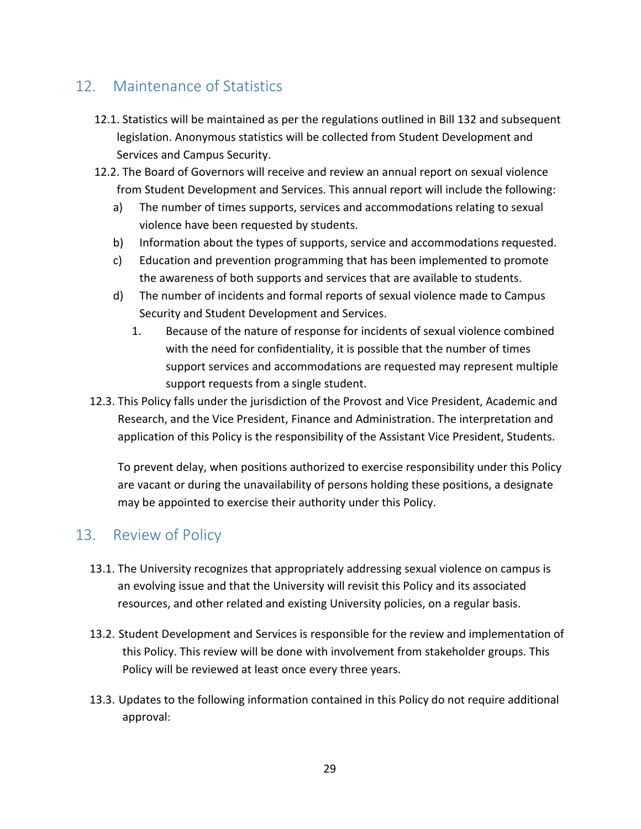# <span id="page-28-0"></span>12. Maintenance of Statistics

- 12.1. Statistics will be maintained as per the regulations outlined in Bill 132 and subsequent legislation. Anonymous statistics will be collected from Student Development and Services and Campus Security.
- 12.2. The Board of Governors will receive and review an annual report on sexual violence from Student Development and Services. This annual report will include the following:
	- a) The number of times supports, services and accommodations relating to sexual violence have been requested by students.
	- b) Information about the types of supports, service and accommodations requested.
	- c) Education and prevention programming that has been implemented to promote the awareness of both supports and services that are available to students.
	- d) The number of incidents and formal reports of sexual violence made to Campus Security and Student Development and Services.
		- 1. Because of the nature of response for incidents of sexual violence combined with the need for confidentiality, it is possible that the number of times support services and accommodations are requested may represent multiple support requests from a single student.
- 12.3. This Policy falls under the jurisdiction of the Provost and Vice President, Academic and Research, and the Vice President, Finance and Administration. The interpretation and application of this Policy is the responsibility of the Assistant Vice President, Students.

To prevent delay, when positions authorized to exercise responsibility under this Policy are vacant or during the unavailability of persons holding these positions, a designate may be appointed to exercise their authority under this Policy.

## <span id="page-28-1"></span>13. Review of Policy

- 13.1. The University recognizes that appropriately addressing sexual violence on campus is an evolving issue and that the University will revisit this Policy and its associated resources, and other related and existing University policies, on a regular basis.
- 13.2. Student Development and Services is responsible for the review and implementation of this Policy. This review will be done with involvement from stakeholder groups. This Policy will be reviewed at least once every three years.
- 13.3. Updates to the following information contained in this Policy do not require additional approval: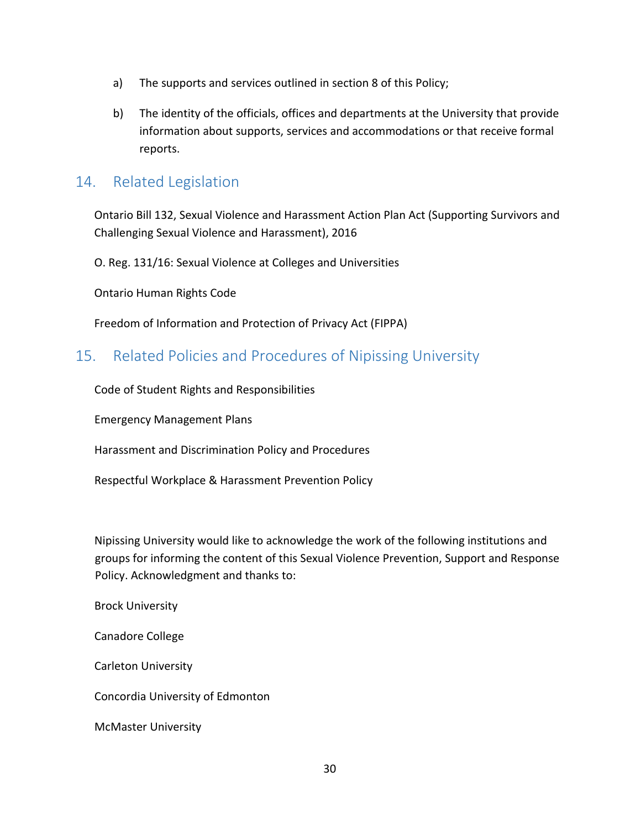- a) The supports and services outlined in section 8 of this Policy;
- b) The identity of the officials, offices and departments at the University that provide information about supports, services and accommodations or that receive formal reports.

## <span id="page-29-0"></span>14. Related Legislation

Ontario Bill 132, Sexual Violence and Harassment Action Plan Act (Supporting Survivors and Challenging Sexual Violence and Harassment), 2016

O. Reg. 131/16: Sexual Violence at Colleges and Universities

Ontario Human Rights Code

Freedom of Information and Protection of Privacy Act (FIPPA)

## <span id="page-29-1"></span>15. Related Policies and Procedures of Nipissing University

Code of Student Rights and Responsibilities

Emergency Management Plans

Harassment and Discrimination Policy and Procedures

Respectful Workplace & Harassment Prevention Policy

Nipissing University would like to acknowledge the work of the following institutions and groups for informing the content of this Sexual Violence Prevention, Support and Response Policy. Acknowledgment and thanks to:

Brock University

Canadore College

Carleton University

Concordia University of Edmonton

McMaster University